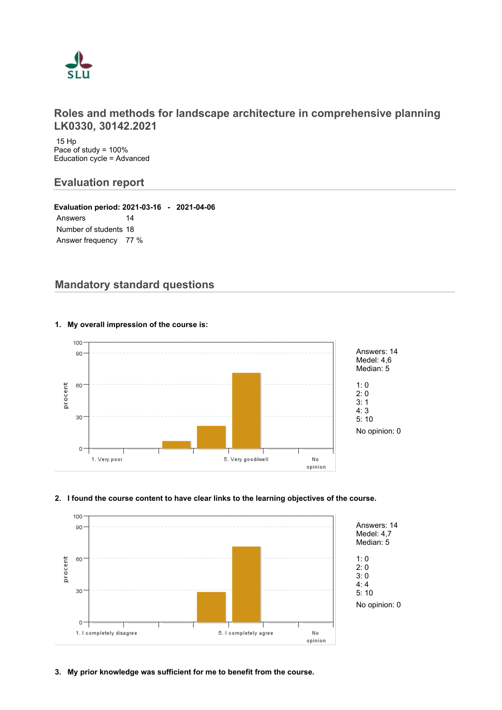

## **Roles and methods for landscape architecture in comprehensive planning LK0330, 30142.2021**

 15 Hp Pace of study = 100% Education cycle = Advanced

## **Evaluation report**

**Evaluation period: 2021-03-16 - 2021-04-06** Answers 14 Number of students 18 Answer frequency 77 %

# **Mandatory standard questions**



#### **1. My overall impression of the course is:**

#### **2. I found the course content to have clear links to the learning objectives of the course.**

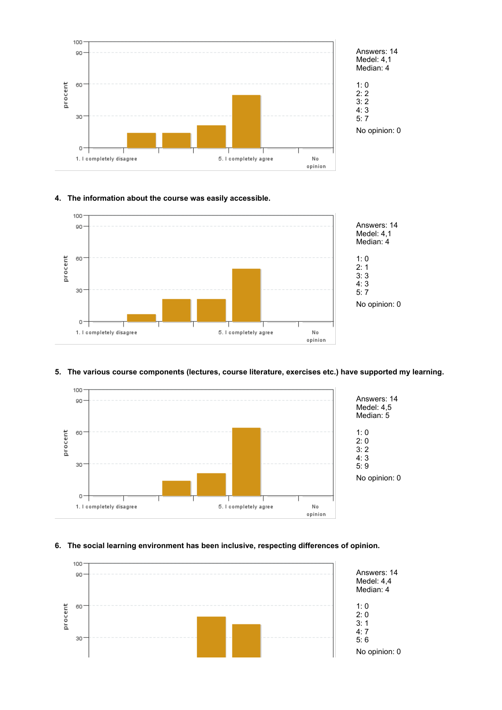

# Answers: 14 Medel: 4,1 Median: 4

No opinion: 0

## **4. The information about the course was easily accessible.**



## **5. The various course components (lectures, course literature, exercises etc.) have supported my learning.**



## **6. The social learning environment has been inclusive, respecting differences of opinion.**

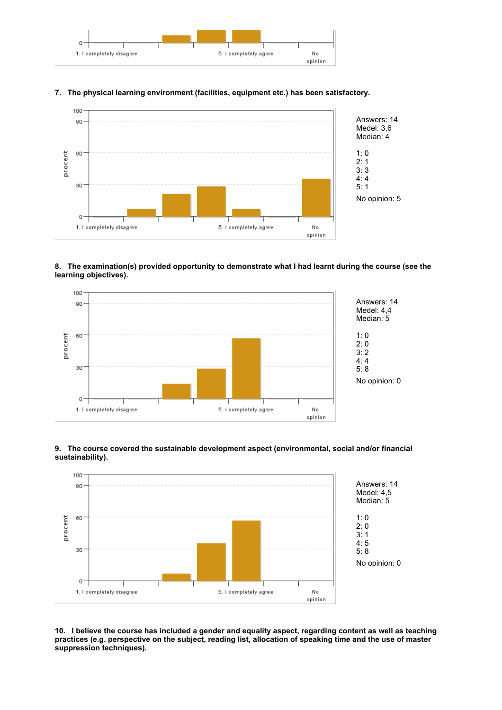



#### **7. The physical learning environment (facilities, equipment etc.) has been satisfactory.**

#### **8. The examination(s) provided opportunity to demonstrate what I had learnt during the course (see the learning objectives).**





#### **9. The course covered the sustainable development aspect (environmental, social and/or financial sustainability).**

**10. I believe the course has included a gender and equality aspect, regarding content as well as teaching practices (e.g. perspective on the subject, reading list, allocation of speaking time and the use of master suppression techniques).**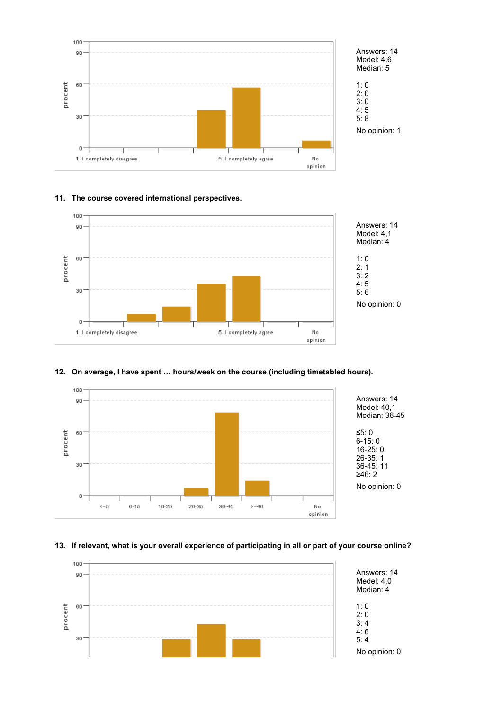

# Answers: 14 Medel: 4,6

No opinion: 1

#### **11. The course covered international perspectives.**



#### **12. On average, I have spent … hours/week on the course (including timetabled hours).**



#### **13. If relevant, what is your overall experience of participating in all or part of your course online?**

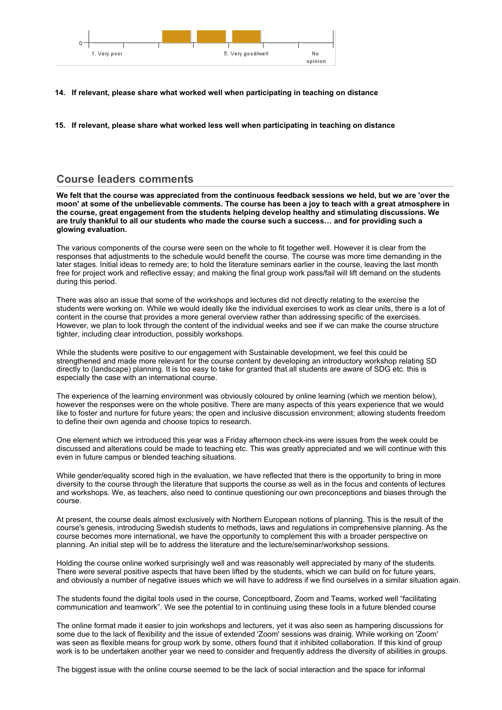

- **14. If relevant, please share what worked well when participating in teaching on distance**
- **15. If relevant, please share what worked less well when participating in teaching on distance**

## **Course leaders comments**

**We felt that the course was appreciated from the continuous feedback sessions we held, but we are 'over the moon' at some of the unbelievable comments. The course has been a joy to teach with a great atmosphere in the course, great engagement from the students helping develop healthy and stimulating discussions. We are truly thankful to all our students who made the course such a success… and for providing such a glowing evaluation.**

The various components of the course were seen on the whole to fit together well. However it is clear from the responses that adjustments to the schedule would benefit the course. The course was more time demanding in the later stages. Initial ideas to remedy are; to hold the literature seminars earlier in the course, leaving the last month free for project work and reflective essay; and making the final group work pass/fail will lift demand on the students during this period.

There was also an issue that some of the workshops and lectures did not directly relating to the exercise the students were working on. While we would ideally like the individual exercises to work as clear units, there is a lot of content in the course that provides a more general overview rather than addressing specific of the exercises. However, we plan to look through the content of the individual weeks and see if we can make the course structure tighter, including clear introduction, possibly workshops.

While the students were positive to our engagement with Sustainable development, we feel this could be strengthened and made more relevant for the course content by developing an introductory workshop relating SD directly to (landscape) planning. It is too easy to take for granted that all students are aware of SDG etc. this is especially the case with an international course.

The experience of the learning environment was obviously coloured by online learning (which we mention below), however the responses were on the whole positive. There are many aspects of this years experience that we would like to foster and nurture for future years; the open and inclusive discussion environment; allowing students freedom to define their own agenda and choose topics to research.

One element which we introduced this year was a Friday afternoon check-ins were issues from the week could be discussed and alterations could be made to teaching etc. This was greatly appreciated and we will continue with this even in future campus or blended teaching situations.

While gender/equality scored high in the evaluation, we have reflected that there is the opportunity to bring in more diversity to the course through the literature that supports the course as well as in the focus and contents of lectures and workshops. We, as teachers, also need to continue questioning our own preconceptions and biases through the course.

At present, the course deals almost exclusively with Northern European notions of planning. This is the result of the course's genesis, introducing Swedish students to methods, laws and regulations in comprehensive planning. As the course becomes more international, we have the opportunity to complement this with a broader perspective on planning. An initial step will be to address the literature and the lecture/seminar/workshop sessions.

Holding the course online worked surprisingly well and was reasonably well appreciated by many of the students. There were several positive aspects that have been lifted by the students, which we can build on for future years, and obviously a number of negative issues which we will have to address if we find ourselves in a similar situation again.

The students found the digital tools used in the course, Conceptboard, Zoom and Teams, worked well "facilitating communication and teamwork". We see the potential to in continuing using these tools in a future blended course

The online format made it easier to join workshops and lecturers, yet it was also seen as hampering discussions for some due to the lack of flexibility and the issue of extended 'Zoom' sessions was drainig. While working on 'Zoom' was seen as flexible means for group work by some, others found that it inhibited collaboration. If this kind of group work is to be undertaken another year we need to consider and frequently address the diversity of abilities in groups.

The biggest issue with the online course seemed to be the lack of social interaction and the space for informal